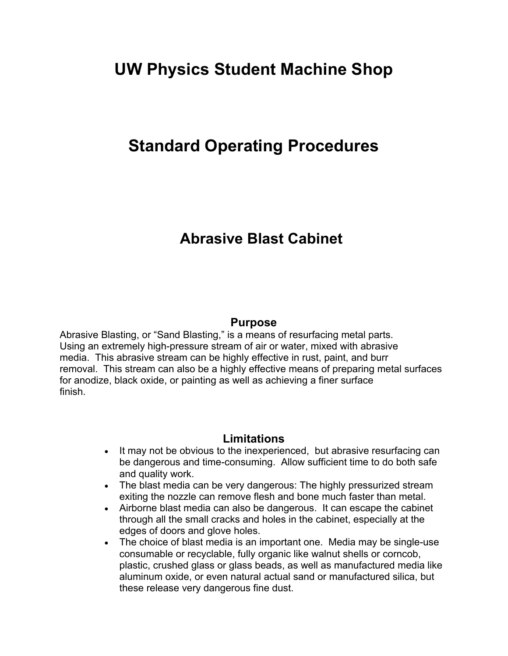# **UW Physics Student Machine Shop**

# **Standard Operating Procedures**

# **Abrasive Blast Cabinet**

#### **Purpose**

Abrasive Blasting, or "Sand Blasting," is a means of resurfacing metal parts. Using an extremely high-pressure stream of air or water, mixed with abrasive media. This abrasive stream can be highly effective in rust, paint, and burr removal. This stream can also be a highly effective means of preparing metal surfaces for anodize, black oxide, or painting as well as achieving a finer surface finish.

### **Limitations**

- It may not be obvious to the inexperienced, but abrasive resurfacing can be dangerous and time-consuming. Allow sufficient time to do both safe and quality work.
- The blast media can be very dangerous: The highly pressurized stream exiting the nozzle can remove flesh and bone much faster than metal.
- Airborne blast media can also be dangerous. It can escape the cabinet through all the small cracks and holes in the cabinet, especially at the edges of doors and glove holes.
- The choice of blast media is an important one. Media may be single-use consumable or recyclable, fully organic like walnut shells or corncob, plastic, crushed glass or glass beads, as well as manufactured media like aluminum oxide, or even natural actual sand or manufactured silica, but these release very dangerous fine dust.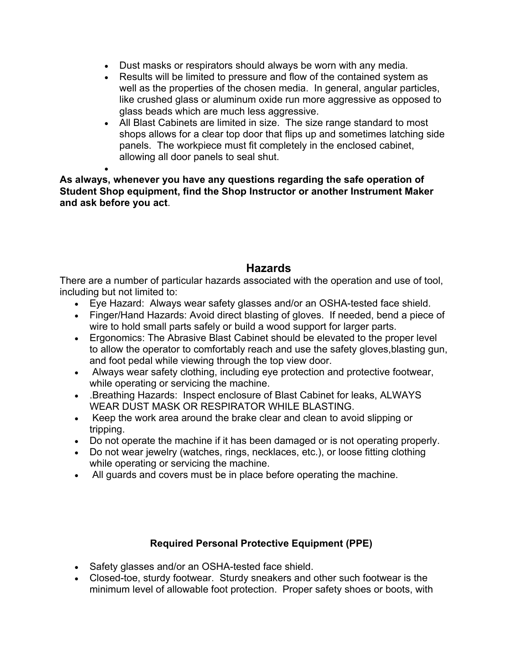- Dust masks or respirators should always be worn with any media.
- Results will be limited to pressure and flow of the contained system as well as the properties of the chosen media. In general, angular particles, like crushed glass or aluminum oxide run more aggressive as opposed to glass beads which are much less aggressive.
- All Blast Cabinets are limited in size. The size range standard to most shops allows for a clear top door that flips up and sometimes latching side panels. The workpiece must fit completely in the enclosed cabinet, allowing all door panels to seal shut.

 $\bullet$ **As always, whenever you have any questions regarding the safe operation of Student Shop equipment, find the Shop Instructor or another Instrument Maker and ask before you act**.

## **Hazards**

There are a number of particular hazards associated with the operation and use of tool, including but not limited to:

- Eye Hazard: Always wear safety glasses and/or an OSHA-tested face shield.
- Finger/Hand Hazards: Avoid direct blasting of gloves. If needed, bend a piece of wire to hold small parts safely or build a wood support for larger parts.
- Ergonomics: The Abrasive Blast Cabinet should be elevated to the proper level to allow the operator to comfortably reach and use the safety gloves,blasting gun, and foot pedal while viewing through the top view door.
- Always wear safety clothing, including eye protection and protective footwear, while operating or servicing the machine.
- .Breathing Hazards: Inspect enclosure of Blast Cabinet for leaks, ALWAYS WEAR DUST MASK OR RESPIRATOR WHILE BLASTING.
- Keep the work area around the brake clear and clean to avoid slipping or tripping.
- Do not operate the machine if it has been damaged or is not operating properly.
- Do not wear jewelry (watches, rings, necklaces, etc.), or loose fitting clothing while operating or servicing the machine.
- All guards and covers must be in place before operating the machine.

### **Required Personal Protective Equipment (PPE)**

- Safety glasses and/or an OSHA-tested face shield.
- Closed-toe, sturdy footwear. Sturdy sneakers and other such footwear is the minimum level of allowable foot protection. Proper safety shoes or boots, with